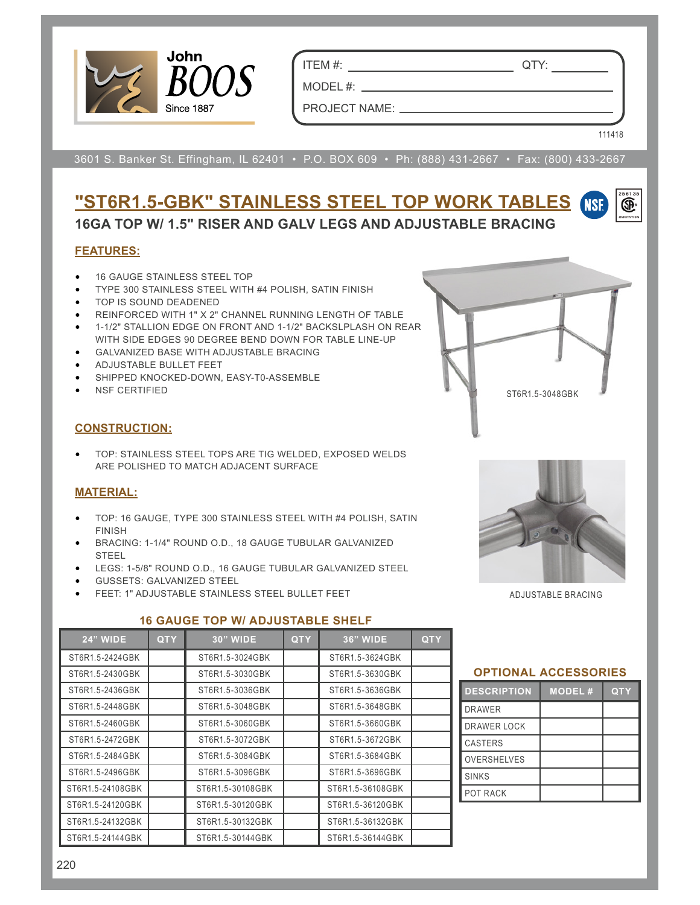

ITEM #: QTY:

MODEL #: \_\_

PROJECT NAME:

111418

®

3601 S. Banker St. Effingham, IL 62401 • P.O. BOX 609 • Ph: (888) 431-2667 • Fax: (800) 433-2667

#### **"ST6R1.5-GBK" STAINLESS STEEL TOP WORK TABLES NSF 16GA TOP W/ 1.5" RISER AND GALV LEGS AND ADJUSTABLE BRACING**

# **FEATURES:**

- 16 GAUGE STAINLESS STEEL TOP
- TYPE 300 STAINLESS STEEL WITH #4 POLISH, SATIN FINISH
- TOP IS SOUND DEADENED
- REINFORCED WITH 1" X 2" CHANNEL RUNNING LENGTH OF TABLE
- 1-1/2" STALLION EDGE ON FRONT AND 1-1/2" BACKSLPLASH ON REAR WITH SIDE EDGES 90 DEGREE BEND DOWN FOR TABLE LINE-UP
- GALVANIZED BASE WITH ADJUSTABLE BRACING
- ADJUSTABLE BULLET FEET
- SHIPPED KNOCKED-DOWN, EASY-T0-ASSEMBLE
- NSF CERTIFIED

## **CONSTRUCTION:**

• TOP: STAINLESS STEEL TOPS ARE TIG WELDED, EXPOSED WELDS ARE POLISHED TO MATCH ADJACENT SURFACE

# **MATERIAL:**

- TOP: 16 GAUGE, TYPE 300 STAINLESS STEEL WITH #4 POLISH, SATIN FINISH
- BRACING: 1-1/4" ROUND O.D., 18 GAUGE TUBULAR GALVANIZED STEEL
- LEGS: 1-5/8" ROUND O.D., 16 GAUGE TUBULAR GALVANIZED STEEL
- GUSSETS: GALVANIZED STEEL
- FEET: 1" ADJUSTABLE STAINLESS STEEL BULLET FEET

#### **16 GAUGE TOP W/ ADJUSTABLE SHELF**

| <b>24" WIDE</b>  | <b>QTY</b> | <b>30" WIDE</b>  | <b>QTY</b> | <b>36" WIDE</b>  | <b>QTY</b> |
|------------------|------------|------------------|------------|------------------|------------|
| ST6R1.5-2424GBK  |            | ST6R1.5-3024GBK  |            | ST6R1.5-3624GBK  |            |
| ST6R1.5-2430GBK  |            | ST6R1.5-3030GBK  |            | ST6R1.5-3630GBK  |            |
| ST6R1.5-2436GBK  |            | ST6R1.5-3036GBK  |            | ST6R1.5-3636GBK  |            |
| ST6R1.5-2448GBK  |            | ST6R1.5-3048GBK  |            | ST6R1.5-3648GBK  |            |
| ST6R1.5-2460GBK  |            | ST6R1.5-3060GBK  |            | ST6R1.5-3660GBK  |            |
| ST6R1.5-2472GBK  |            | ST6R1.5-3072GBK  |            | ST6R1.5-3672GBK  |            |
| ST6R1.5-2484GBK  |            | ST6R1.5-3084GBK  |            | ST6R1.5-3684GBK  |            |
| ST6R1.5-2496GBK  |            | ST6R1.5-3096GBK  |            | ST6R1.5-3696GBK  |            |
| ST6R1.5-24108GBK |            | ST6R1.5-30108GBK |            | ST6R1.5-36108GBK |            |
| ST6R1.5-24120GBK |            | ST6R1.5-30120GBK |            | ST6R1.5-36120GBK |            |
| ST6R1.5-24132GBK |            | ST6R1.5-30132GBK |            | ST6R1.5-36132GBK |            |
| ST6R1.5-24144GBK |            | ST6R1.5-30144GBK |            | ST6R1.5-36144GBK |            |



ST6R1.5-3048GBK

## **OPTIONAL ACCESSORIES**

| <b>DESCRIPTION</b> | <b>MODEL#</b> | <b>QTY</b> |  |  |  |  |
|--------------------|---------------|------------|--|--|--|--|
| <b>DRAWER</b>      |               |            |  |  |  |  |
| <b>DRAWER LOCK</b> |               |            |  |  |  |  |
| <b>CASTERS</b>     |               |            |  |  |  |  |
| <b>OVERSHELVES</b> |               |            |  |  |  |  |
| <b>SINKS</b>       |               |            |  |  |  |  |
| POT RACK           |               |            |  |  |  |  |